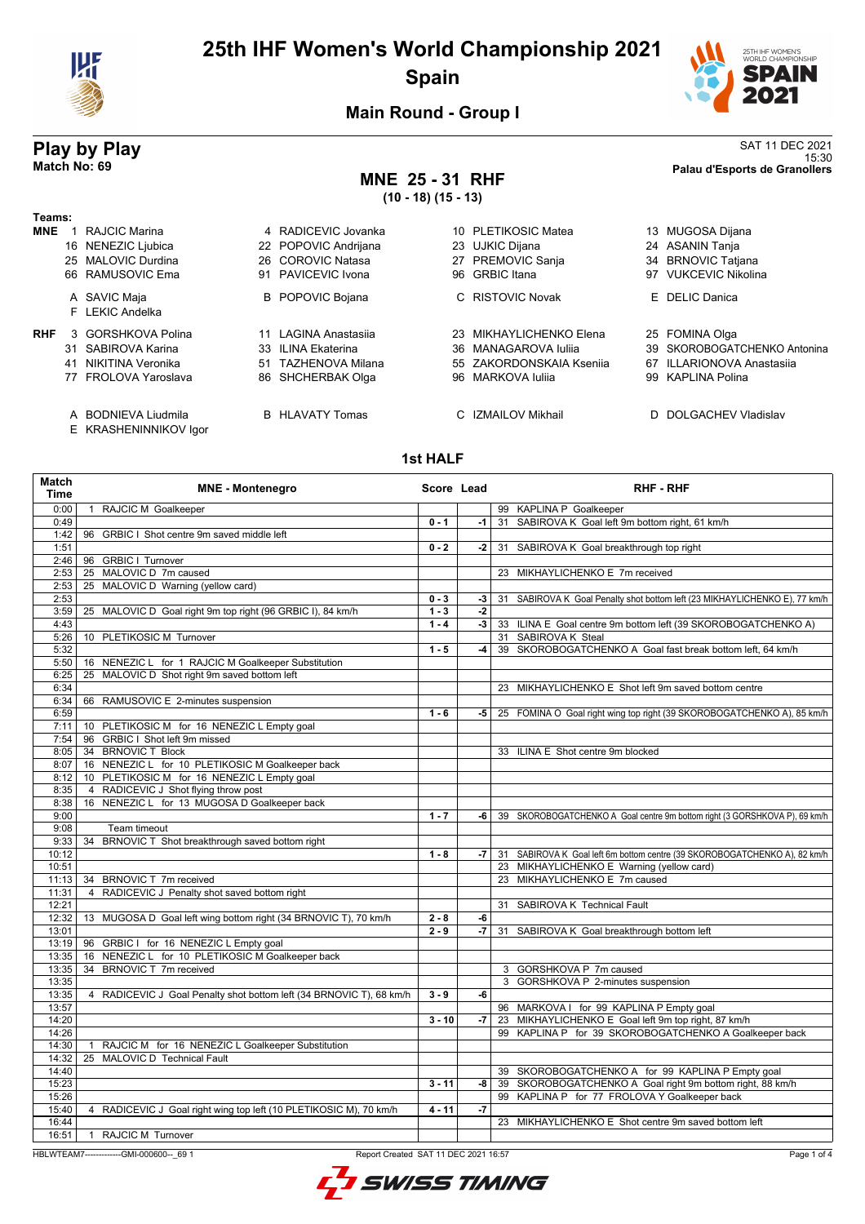

# **25th IHF Women's World Championship 2021 Spain**



**Main Round - Group I**

## **MNE 25 - 31 RHF (10 - 18) (15 - 13)**

**Play by Play**<br>Match No: 69<br>Palau d'Esports de Granollers 15:30 **Match No: 69 Palau d'Esports de Granollers**

| Teams:     |    |                                              |    |                         |     |                          |                              |
|------------|----|----------------------------------------------|----|-------------------------|-----|--------------------------|------------------------------|
| <b>MNE</b> |    | RAJCIC Marina                                |    | 4 RADICEVIC Jovanka     | 10. | <b>PLETIKOSIC Matea</b>  | 13 MUGOSA Dijana             |
|            |    | 16 NENEZIC Ljubica                           |    | 22 POPOVIC Andrijana    |     | 23 UJKIC Dijana          | 24 ASANIN Tanja              |
|            |    | 25 MALOVIC Durdina                           |    | 26 COROVIC Natasa       |     | 27 PREMOVIC Sanja        | 34 BRNOVIC Tatjana           |
|            |    | 66 RAMUSOVIC Ema                             | 91 | PAVICEVIC Ivona         |     | 96 GRBIC Itana           | 97 VUKCEVIC Nikolina         |
|            |    | A SAVIC Maja                                 |    | <b>B</b> POPOVIC Bojana |     | C RISTOVIC Novak         | E DELIC Danica               |
|            |    | F LEKIC Andelka                              |    |                         |     |                          |                              |
| <b>RHF</b> |    | 3 GORSHKOVA Polina                           |    | 11 LAGINA Anastasija    |     | 23 MIKHAYLICHENKO Elena  | 25 FOMINA Olga               |
|            |    | 31 SABIROVA Karina                           |    | 33 ILINA Ekaterina      |     | 36 MANAGAROVA Iulija     | 39 SKOROBOGATCHENKO Antonina |
|            | 41 | NIKITINA Veronika                            |    | 51 TAZHENOVA Milana     |     | 55 ZAKORDONSKAIA Ksenija | 67 ILLARIONOVA Anastasija    |
|            |    | 77 FROLOVA Yaroslava                         | 86 | SHCHERBAK Olga          |     | 96 MARKOVA Iulija        | 99 KAPLINA Polina            |
|            |    | A BODNIEVA Liudmila<br>E KRASHENINNIKOV Igor |    | <b>B</b> HLAVATY Tomas  |     | C IZMAILOV Mikhail       | D DOLGACHEV Vladislav        |

### **1st HALF**

| <b>Match</b><br><b>Time</b> | <b>MNE - Montenegro</b>                                                                         | Score Lead |      |    | <b>RHF - RHF</b>                                                           |
|-----------------------------|-------------------------------------------------------------------------------------------------|------------|------|----|----------------------------------------------------------------------------|
| 0:00                        | RAJCIC M Goalkeeper                                                                             |            |      |    | 99 KAPLINA P Goalkeeper                                                    |
| 0:49                        |                                                                                                 | $0 - 1$    | $-1$ |    | 31 SABIROVA K Goal left 9m bottom right, 61 km/h                           |
| 1:42                        | 96<br>GRBIC I Shot centre 9m saved middle left                                                  |            |      |    |                                                                            |
| 1:51                        |                                                                                                 | $0 - 2$    | $-2$ |    | 31 SABIROVA K Goal breakthrough top right                                  |
| 2:46                        | 96 GRBIC I Turnover                                                                             |            |      |    |                                                                            |
| 2:53                        | 25 MALOVIC D 7m caused                                                                          |            |      |    | 23 MIKHAYLICHENKO E 7m received                                            |
| 2:53                        | 25 MALOVIC D Warning (yellow card)                                                              |            |      |    |                                                                            |
| 2:53                        |                                                                                                 | $0 - 3$    | -3   | 31 | SABIROVA K Goal Penalty shot bottom left (23 MIKHAYLICHENKO E), 77 km/h    |
| 3:59                        | 25 MALOVIC D Goal right 9m top right (96 GRBIC I), 84 km/h                                      | $1 - 3$    | $-2$ |    |                                                                            |
| 4:43                        |                                                                                                 | $1 - 4$    | $-3$ |    | 33 ILINA E Goal centre 9m bottom left (39 SKOROBOGATCHENKO A)              |
| 5:26                        | 10 PLETIKOSIC M Turnover                                                                        |            |      |    | 31 SABIROVA K Steal                                                        |
| 5:32                        |                                                                                                 | $1 - 5$    | $-4$ |    | 39 SKOROBOGATCHENKO A Goal fast break bottom left, 64 km/h                 |
| 5:50                        | 16 NENEZIC L for 1 RAJCIC M Goalkeeper Substitution                                             |            |      |    |                                                                            |
| 6:25                        | 25 MALOVIC D Shot right 9m saved bottom left                                                    |            |      |    |                                                                            |
| 6:34                        |                                                                                                 |            |      |    | 23 MIKHAYLICHENKO E Shot left 9m saved bottom centre                       |
| 6:34                        | 66 RAMUSOVIC E 2-minutes suspension                                                             |            |      |    |                                                                            |
| 6:59                        |                                                                                                 | $1 - 6$    | -5   |    | 25 FOMINA O Goal right wing top right (39 SKOROBOGATCHENKO A), 85 km/h     |
| 7:11                        | 10 PLETIKOSIC M for 16 NENEZIC L Empty goal                                                     |            |      |    |                                                                            |
| 7:54                        | 96 GRBIC I Shot left 9m missed                                                                  |            |      |    |                                                                            |
| 8:05                        | 34 BRNOVIC T Block                                                                              |            |      |    | 33 ILINA E Shot centre 9m blocked                                          |
| 8:07                        | 16 NENEZIC L for 10 PLETIKOSIC M Goalkeeper back<br>10 PLETIKOSIC M for 16 NENEZIC L Empty goal |            |      |    |                                                                            |
| 8:12                        | 4 RADICEVIC J Shot flying throw post                                                            |            |      |    |                                                                            |
| 8:35<br>8:38                | 16 NENEZIC L for 13 MUGOSA D Goalkeeper back                                                    |            |      |    |                                                                            |
| 9:00                        |                                                                                                 | $1 - 7$    | -6   |    | 39 SKOROBOGATCHENKO A Goal centre 9m bottom right (3 GORSHKOVA P), 69 km/h |
| 9:08                        | Team timeout                                                                                    |            |      |    |                                                                            |
| 9:33                        | 34 BRNOVIC T Shot breakthrough saved bottom right                                               |            |      |    |                                                                            |
| 10:12                       |                                                                                                 | $1 - 8$    | -7   |    | 31 SABIROVA K Goal left 6m bottom centre (39 SKOROBOGATCHENKO A), 82 km/h  |
| 10:51                       |                                                                                                 |            |      |    | 23 MIKHAYLICHENKO E Warning (yellow card)                                  |
| 11:13                       | 34 BRNOVIC T 7m received                                                                        |            |      |    | 23 MIKHAYLICHENKO E 7m caused                                              |
| 11:31                       | 4 RADICEVIC J Penalty shot saved bottom right                                                   |            |      |    |                                                                            |
| 12:21                       |                                                                                                 |            |      | 31 | SABIROVA K Technical Fault                                                 |
| 12:32                       | 13 MUGOSA D Goal left wing bottom right (34 BRNOVIC T), 70 km/h                                 | $2 - 8$    | $-6$ |    |                                                                            |
| 13:01                       |                                                                                                 | $2 - 9$    | -7   | 31 | SABIROVA K Goal breakthrough bottom left                                   |
| 13:19                       | 96 GRBIC I for 16 NENEZIC L Empty goal                                                          |            |      |    |                                                                            |
| 13:35                       | 16 NENEZIC L for 10 PLETIKOSIC M Goalkeeper back                                                |            |      |    |                                                                            |
| 13:35                       | 34 BRNOVIC T 7m received                                                                        |            |      |    | 3 GORSHKOVA P 7m caused                                                    |
| 13:35                       |                                                                                                 |            |      |    | 3 GORSHKOVA P 2-minutes suspension                                         |
| 13:35                       | 4 RADICEVIC J Goal Penalty shot bottom left (34 BRNOVIC T), 68 km/h                             | $3 - 9$    | -6   |    |                                                                            |
| 13:57                       |                                                                                                 |            |      |    | 96 MARKOVA I for 99 KAPLINA P Empty goal                                   |
| 14:20                       |                                                                                                 | $3 - 10$   | $-7$ |    | 23 MIKHAYLICHENKO E Goal left 9m top right, 87 km/h                        |
| 14:26                       |                                                                                                 |            |      |    | 99 KAPLINA P for 39 SKOROBOGATCHENKO A Goalkeeper back                     |
| 14:30                       | RAJCIC M for 16 NENEZIC L Goalkeeper Substitution<br>$\mathbf{1}$                               |            |      |    |                                                                            |
| 14:32                       | MALOVIC D Technical Fault<br>25                                                                 |            |      |    |                                                                            |
| 14:40                       |                                                                                                 |            |      |    | 39 SKOROBOGATCHENKO A for 99 KAPLINA P Empty goal                          |
| 15:23                       |                                                                                                 | $3 - 11$   | -8   |    | 39 SKOROBOGATCHENKO A Goal right 9m bottom right, 88 km/h                  |
| 15:26                       |                                                                                                 |            |      |    | 99 KAPLINA P for 77 FROLOVA Y Goalkeeper back                              |
| 15:40                       | 4 RADICEVIC J Goal right wing top left (10 PLETIKOSIC M), 70 km/h                               | $4 - 11$   | $-7$ |    |                                                                            |
| 16:44                       |                                                                                                 |            |      |    | 23 MIKHAYLICHENKO E Shot centre 9m saved bottom left                       |
| 16:51                       | <b>RAJCIC M Turnover</b><br>$\mathbf{1}$                                                        |            |      |    |                                                                            |

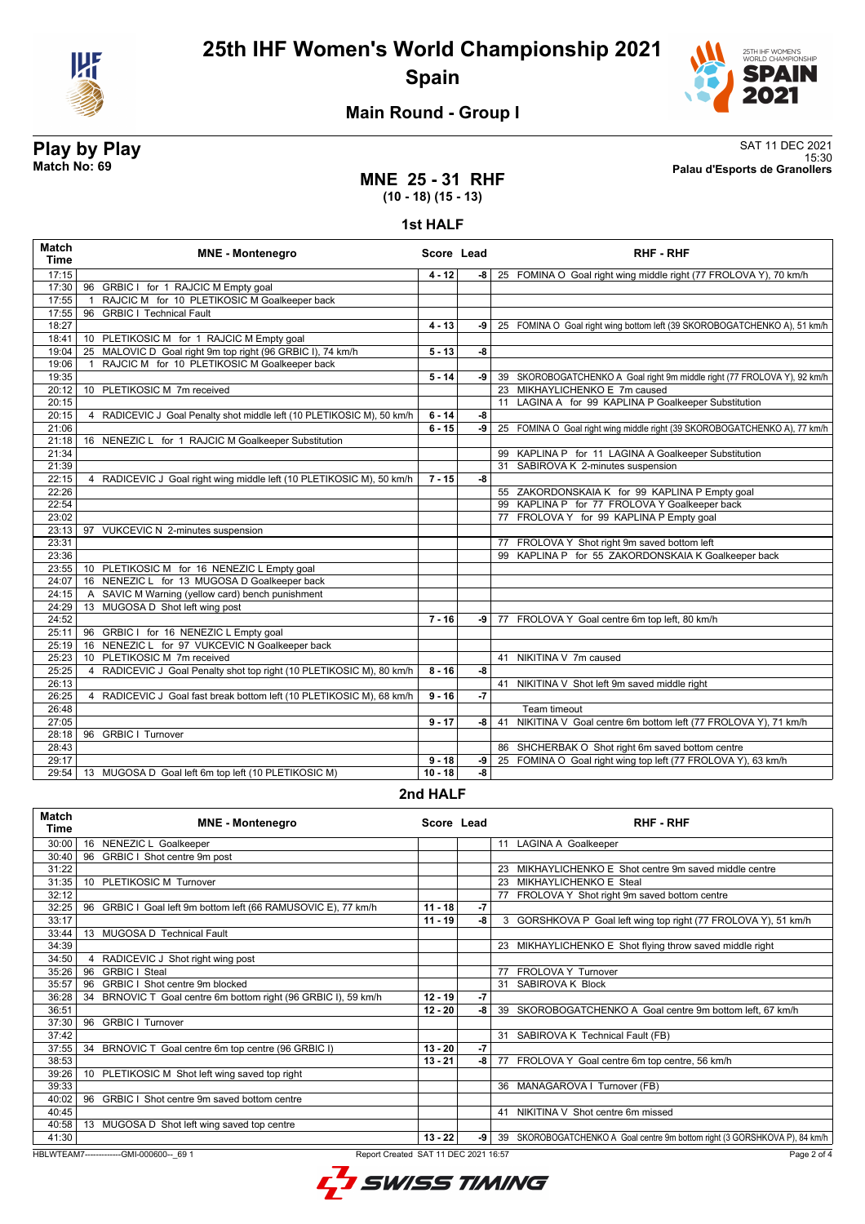

# **25th IHF Women's World Championship 2021 Spain**



# **Main Round - Group I**

## **Play by Play**<br>Match No: 69<br>Palau d'Esports de Granollers 15:30 **Match No: 69 Palau d'Esports de Granollers**

## **MNE 25 - 31 RHF (10 - 18) (15 - 13)**

**1st HALF**

| <b>Match</b><br><b>Time</b> | <b>MNE - Montenegro</b>                                                | Score Lead |      | <b>RHF - RHF</b>                                                          |
|-----------------------------|------------------------------------------------------------------------|------------|------|---------------------------------------------------------------------------|
| 17:15                       |                                                                        | $4 - 12$   | -8   | 25 FOMINA O Goal right wing middle right (77 FROLOVA Y), 70 km/h          |
| 17:30                       | 96 GRBIC I for 1 RAJCIC M Empty goal                                   |            |      |                                                                           |
| 17:55                       | RAJCIC M for 10 PLETIKOSIC M Goalkeeper back                           |            |      |                                                                           |
| 17:55                       | <b>GRBIC I Technical Fault</b><br>96                                   |            |      |                                                                           |
| 18:27                       |                                                                        | $4 - 13$   | -9   | 25 FOMINA O Goal right wing bottom left (39 SKOROBOGATCHENKO A), 51 km/h  |
| 18:41                       | 10 PLETIKOSIC M for 1 RAJCIC M Empty goal                              |            |      |                                                                           |
| 19:04                       | MALOVIC D Goal right 9m top right (96 GRBIC I), 74 km/h<br>25          | $5 - 13$   | $-8$ |                                                                           |
| 19:06                       | RAJCIC M for 10 PLETIKOSIC M Goalkeeper back<br>$\mathbf{1}$           |            |      |                                                                           |
| 19:35                       |                                                                        | $5 - 14$   | -9   | 39 SKOROBOGATCHENKO A Goal right 9m middle right (77 FROLOVA Y), 92 km/h  |
| 20:12                       | 10 PLETIKOSIC M 7m received                                            |            |      | 23 MIKHAYLICHENKO E 7m caused                                             |
| 20:15                       |                                                                        |            |      | 11 LAGINA A for 99 KAPLINA P Goalkeeper Substitution                      |
| 20:15                       | 4 RADICEVIC J Goal Penalty shot middle left (10 PLETIKOSIC M), 50 km/h | $6 - 14$   | -8   |                                                                           |
| 21:06                       |                                                                        | $6 - 15$   | $-9$ | 25 FOMINA O Goal right wing middle right (39 SKOROBOGATCHENKO A), 77 km/h |
| 21:18                       | 16 NENEZIC L for 1 RAJCIC M Goalkeeper Substitution                    |            |      |                                                                           |
| 21:34                       |                                                                        |            |      | 99 KAPLINA P for 11 LAGINA A Goalkeeper Substitution                      |
| 21:39                       |                                                                        |            |      | 31 SABIROVA K 2-minutes suspension                                        |
| 22:15                       | 4 RADICEVIC J Goal right wing middle left (10 PLETIKOSIC M), 50 km/h   | $7 - 15$   | -8   |                                                                           |
| 22:26                       |                                                                        |            |      | 55 ZAKORDONSKAIA K for 99 KAPLINA P Empty goal                            |
| 22:54                       |                                                                        |            |      | 99 KAPLINA P for 77 FROLOVA Y Goalkeeper back                             |
| 23:02                       |                                                                        |            |      | 77 FROLOVA Y for 99 KAPLINA P Empty goal                                  |
| 23:13                       | 97 VUKCEVIC N 2-minutes suspension                                     |            |      |                                                                           |
| 23:31                       |                                                                        |            |      | 77 FROLOVA Y Shot right 9m saved bottom left                              |
| 23:36                       |                                                                        |            |      | 99 KAPLINA P for 55 ZAKORDONSKAIA K Goalkeeper back                       |
| 23:55                       | 10 PLETIKOSIC M for 16 NENEZIC L Empty goal                            |            |      |                                                                           |
| 24:07                       | 16 NENEZIC L for 13 MUGOSA D Goalkeeper back                           |            |      |                                                                           |
| 24:15                       | SAVIC M Warning (yellow card) bench punishment<br>A                    |            |      |                                                                           |
| 24:29                       | 13 MUGOSA D Shot left wing post                                        |            |      |                                                                           |
| 24:52                       |                                                                        | $7 - 16$   | -9   | 77 FROLOVA Y Goal centre 6m top left, 80 km/h                             |
| 25:11                       | 96 GRBIC I for 16 NENEZIC L Empty goal                                 |            |      |                                                                           |
| 25:19                       | 16 NENEZIC L for 97 VUKCEVIC N Goalkeeper back                         |            |      |                                                                           |
| 25:23                       | PLETIKOSIC M 7m received<br>10 <sup>1</sup>                            |            |      | 41 NIKITINA V 7m caused                                                   |
| 25:25                       | 4 RADICEVIC J Goal Penalty shot top right (10 PLETIKOSIC M), 80 km/h   | $8 - 16$   | $-8$ |                                                                           |
| 26:13                       |                                                                        |            |      | 41 NIKITINA V Shot left 9m saved middle right                             |
| 26:25                       | 4 RADICEVIC J Goal fast break bottom left (10 PLETIKOSIC M), 68 km/h   | $9 - 16$   | $-7$ |                                                                           |
| 26:48                       |                                                                        |            |      | Team timeout                                                              |
| 27:05                       |                                                                        | $9 - 17$   | -8 l | 41 NIKITINA V Goal centre 6m bottom left (77 FROLOVA Y), 71 km/h          |
| 28:18                       | 96 GRBIC I Turnover                                                    |            |      |                                                                           |
| 28:43                       |                                                                        |            |      | 86 SHCHERBAK O Shot right 6m saved bottom centre                          |
| 29:17                       |                                                                        | $9 - 18$   | $-9$ | 25 FOMINA O Goal right wing top left (77 FROLOVA Y), 63 km/h              |
| 29:54                       | 13 MUGOSA D Goal left 6m top left (10 PLETIKOSIC M)                    | $10 - 18$  | -8   |                                                                           |
|                             |                                                                        | 0.411111E  |      |                                                                           |

### **2nd HALF**

| <b>Match</b><br>Time | <b>MNE - Montenegro</b>                                                         | Score Lead |      | <b>RHF - RHF</b>                                                              |
|----------------------|---------------------------------------------------------------------------------|------------|------|-------------------------------------------------------------------------------|
| 30:00                | NENEZIC L Goalkeeper<br>16                                                      |            |      | 11 LAGINA A Goalkeeper                                                        |
| 30:40                | GRBIC I Shot centre 9m post<br>96                                               |            |      |                                                                               |
| 31:22                |                                                                                 |            |      | MIKHAYLICHENKO E Shot centre 9m saved middle centre                           |
| 31:35                | 10 PLETIKOSIC M Turnover                                                        |            |      | MIKHAYLICHENKO E Steal<br>23                                                  |
| 32:12                |                                                                                 |            |      | 77 FROLOVA Y Shot right 9m saved bottom centre                                |
| 32:25                | GRBIC I Goal left 9m bottom left (66 RAMUSOVIC E), 77 km/h<br>96                | $11 - 18$  | $-7$ |                                                                               |
| 33:17                |                                                                                 | $11 - 19$  | -8   | 3 GORSHKOVA P Goal left wing top right (77 FROLOVA Y), 51 km/h                |
| 33:44                | 13 MUGOSA D Technical Fault                                                     |            |      |                                                                               |
| 34:39                |                                                                                 |            |      | 23 MIKHAYLICHENKO E Shot flying throw saved middle right                      |
| 34:50                | RADICEVIC J Shot right wing post                                                |            |      |                                                                               |
| 35:26                | <b>GRBIC I Steal</b><br>96                                                      |            |      | FROLOVA Y Turnover<br>77                                                      |
| 35:57                | GRBIC I Shot centre 9m blocked<br>96                                            |            |      | SABIROVA K Block<br>31                                                        |
| 36:28                | BRNOVIC T Goal centre 6m bottom right (96 GRBIC I), 59 km/h<br>34               | $12 - 19$  | -7   |                                                                               |
| 36:51                |                                                                                 | $12 - 20$  | -8   | 39 SKOROBOGATCHENKO A Goal centre 9m bottom left, 67 km/h                     |
| 37:30                | <b>GRBIC I Turnover</b><br>96                                                   |            |      |                                                                               |
| 37:42                |                                                                                 |            |      | 31 SABIROVA K Technical Fault (FB)                                            |
| 37:55                | 34<br>BRNOVIC T Goal centre 6m top centre (96 GRBIC I)                          | $13 - 20$  | -7   |                                                                               |
| 38:53                |                                                                                 | $13 - 21$  | -8   | FROLOVA Y Goal centre 6m top centre, 56 km/h<br>77                            |
| 39:26                | 10 PLETIKOSIC M Shot left wing saved top right                                  |            |      |                                                                               |
| 39:33                |                                                                                 |            |      | 36 MANAGAROVA   Turnover (FB)                                                 |
| 40:02                | 96<br>GRBIC I Shot centre 9m saved bottom centre                                |            |      |                                                                               |
| 40:45                |                                                                                 |            |      | NIKITINA V Shot centre 6m missed<br>41                                        |
| 40:58                | 13 MUGOSA D Shot left wing saved top centre                                     |            |      |                                                                               |
| 41:30                |                                                                                 | $13 - 22$  | -9   | 39<br>SKOROBOGATCHENKO A Goal centre 9m bottom right (3 GORSHKOVA P), 84 km/h |
|                      | HBLWTEAM7-------------GMI-000600-- 69 1<br>Report Created SAT 11 DEC 2021 16:57 |            |      | Page 2 of 4                                                                   |



Page 2 of 4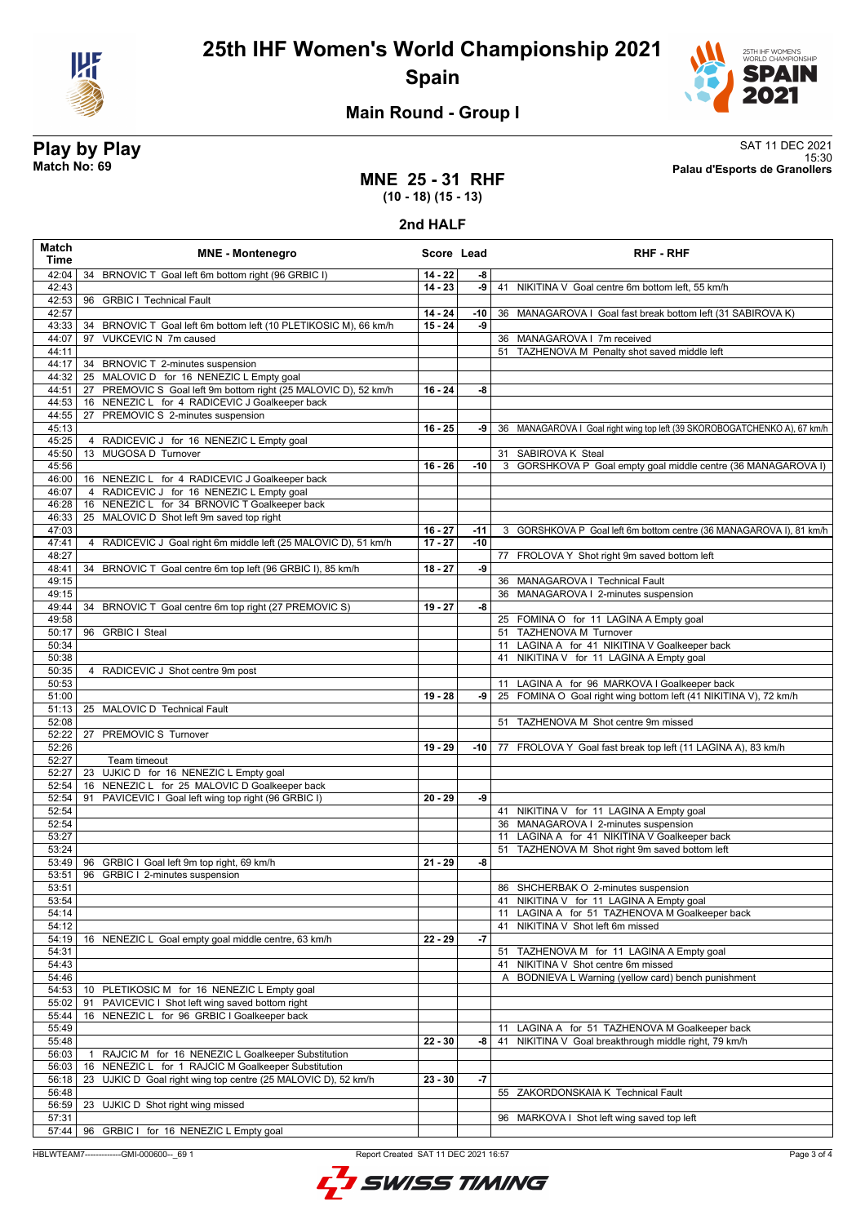



# **Main Round - Group I**

**Play by Play**<br>Match No: 69<br>Palau d'Esports de Granollers 15:30 **Match No: 69 Palau d'Esports de Granollers**

## **MNE 25 - 31 RHF (10 - 18) (15 - 13)**

**2nd HALF**

| Match<br><b>Time</b> | <b>MNE - Montenegro</b>                                            | Score Lead |       | <b>RHF - RHF</b>                                                          |
|----------------------|--------------------------------------------------------------------|------------|-------|---------------------------------------------------------------------------|
| 42:04                | BRNOVIC T Goal left 6m bottom right (96 GRBIC I)<br>34             | $14 - 22$  | -8    |                                                                           |
| 42:43                |                                                                    | $14 - 23$  | -9    | 41 NIKITINA V Goal centre 6m bottom left, 55 km/h                         |
| 42:53                | 96 GRBIC I Technical Fault                                         |            |       |                                                                           |
| 42:57                |                                                                    | $14 - 24$  | -10   | 36 MANAGAROVA I Goal fast break bottom left (31 SABIROVA K)               |
| 43:33                | 34 BRNOVIC T Goal left 6m bottom left (10 PLETIKOSIC M), 66 km/h   | $15 - 24$  | -9    |                                                                           |
| 44:07                | VUKCEVIC N 7m caused<br>97                                         |            |       | 36 MANAGAROVA I 7m received                                               |
| 44:11<br>44:17       | 34 BRNOVIC T 2-minutes suspension                                  |            |       | 51 TAZHENOVA M Penalty shot saved middle left                             |
| 44:32                | 25 MALOVIC D for 16 NENEZIC L Empty goal                           |            |       |                                                                           |
| 44:51                | PREMOVIC S Goal left 9m bottom right (25 MALOVIC D), 52 km/h<br>27 | $16 - 24$  | -8    |                                                                           |
| 44:53                | 16 NENEZIC L for 4 RADICEVIC J Goalkeeper back                     |            |       |                                                                           |
| 44:55                | PREMOVIC S 2-minutes suspension<br>27                              |            |       |                                                                           |
| 45:13                |                                                                    | $16 - 25$  | -9    | 36 MANAGAROVA I Goal right wing top left (39 SKOROBOGATCHENKO A), 67 km/h |
| 45:25                | 4 RADICEVIC J for 16 NENEZIC L Empty goal                          |            |       |                                                                           |
| 45:50                | MUGOSA D Turnover<br>13                                            |            |       | 31 SABIROVA K Steal                                                       |
| 45:56<br>46:00       | 16 NENEZIC L for 4 RADICEVIC J Goalkeeper back                     | $16 - 26$  | -10   | 3 GORSHKOVA P Goal empty goal middle centre (36 MANAGAROVA I)             |
| 46:07                | 4 RADICEVIC J for 16 NENEZIC L Empty goal                          |            |       |                                                                           |
| 46:28                | 16 NENEZIC L for 34 BRNOVIC T Goalkeeper back                      |            |       |                                                                           |
| 46:33                | 25 MALOVIC D Shot left 9m saved top right                          |            |       |                                                                           |
| 47:03                |                                                                    | $16 - 27$  | $-11$ | 3 GORSHKOVA P Goal left 6m bottom centre (36 MANAGAROVA I), 81 km/h       |
| 47:41                | 4 RADICEVIC J Goal right 6m middle left (25 MALOVIC D), 51 km/h    | $17 - 27$  | $-10$ |                                                                           |
| 48:27                |                                                                    |            |       | 77 FROLOVA Y Shot right 9m saved bottom left                              |
| 48:41                | 34 BRNOVIC T Goal centre 6m top left (96 GRBIC I), 85 km/h         | $18 - 27$  | -9    |                                                                           |
| 49:15                |                                                                    |            |       | 36 MANAGAROVA   Technical Fault                                           |
| 49:15                |                                                                    |            |       | 36 MANAGAROVA   2-minutes suspension                                      |
| 49:44<br>49:58       | 34 BRNOVIC T Goal centre 6m top right (27 PREMOVIC S)              | $19 - 27$  | -8    | 25 FOMINA O for 11 LAGINA A Empty goal                                    |
| 50:17                | 96 GRBIC I Steal                                                   |            |       | 51 TAZHENOVA M Turnover                                                   |
| 50:34                |                                                                    |            |       | 11 LAGINA A for 41 NIKITINA V Goalkeeper back                             |
| 50:38                |                                                                    |            |       | 41 NIKITINA V for 11 LAGINA A Empty goal                                  |
| 50:35                | 4 RADICEVIC J Shot centre 9m post                                  |            |       |                                                                           |
| 50:53                |                                                                    |            |       | 11 LAGINA A for 96 MARKOVA I Goalkeeper back                              |
| 51:00                |                                                                    | $19 - 28$  | -9    | 25 FOMINA O Goal right wing bottom left (41 NIKITINA V), 72 km/h          |
| 51:13                | 25 MALOVIC D Technical Fault                                       |            |       |                                                                           |
| 52:08<br>52:22       |                                                                    |            |       | 51 TAZHENOVA M Shot centre 9m missed                                      |
| 52:26                | 27 PREMOVIC S Turnover                                             | $19 - 29$  | -10   | 77 FROLOVA Y Goal fast break top left (11 LAGINA A), 83 km/h              |
| 52:27                | Team timeout                                                       |            |       |                                                                           |
| 52:27                | 23 UJKIC D for 16 NENEZIC L Empty goal                             |            |       |                                                                           |
| 52:54                | 16 NENEZIC L for 25 MALOVIC D Goalkeeper back                      |            |       |                                                                           |
| 52:54                | PAVICEVIC I Goal left wing top right (96 GRBIC I)<br>91            | $20 - 29$  | -9    |                                                                           |
| 52:54                |                                                                    |            |       | 41 NIKITINA V for 11 LAGINA A Empty goal                                  |
| 52:54                |                                                                    |            |       | 36 MANAGAROVA   2-minutes suspension                                      |
| 53:27                |                                                                    |            |       | 11 LAGINA A for 41 NIKITINA V Goalkeeper back                             |
| 53:24<br>53:49       | 96 GRBIC I Goal left 9m top right, 69 km/h                         | $21 - 29$  | -8    | 51 TAZHENOVA M Shot right 9m saved bottom left                            |
| 53:51                | 96 GRBIC I 2-minutes suspension                                    |            |       |                                                                           |
| 53:51                |                                                                    |            |       | 86 SHCHERBAK O 2-minutes suspension                                       |
| 53:54                |                                                                    |            |       | 41 NIKITINA V for 11 LAGINA A Empty goal                                  |
| 54:14                |                                                                    |            |       | 11 LAGINA A for 51 TAZHENOVA M Goalkeeper back                            |
| 54:12                |                                                                    |            |       | 41 NIKITINA V Shot left 6m missed                                         |
| 54:19                | 16 NENEZIC L Goal empty goal middle centre, 63 km/h                | $22 - 29$  | -7    |                                                                           |
| 54:31                |                                                                    |            |       | 51 TAZHENOVA M for 11 LAGINA A Empty goal                                 |
| 54:43                |                                                                    |            |       | NIKITINA V Shot centre 6m missed<br>41                                    |
| 54:46<br>54:53       | 10 PLETIKOSIC M for 16 NENEZIC L Empty goal                        |            |       | A BODNIEVA L Warning (yellow card) bench punishment                       |
| 55:02                | PAVICEVIC I Shot left wing saved bottom right<br>91                |            |       |                                                                           |
| 55:44                | NENEZIC L for 96 GRBIC I Goalkeeper back<br>16                     |            |       |                                                                           |
| 55:49                |                                                                    |            |       | LAGINA A for 51 TAZHENOVA M Goalkeeper back<br>11                         |
| 55:48                |                                                                    | $22 - 30$  | -8    | NIKITINA V Goal breakthrough middle right, 79 km/h<br>41                  |
| 56:03                | RAJCIC M for 16 NENEZIC L Goalkeeper Substitution<br>$\mathbf{1}$  |            |       |                                                                           |
| 56:03                | NENEZIC L for 1 RAJCIC M Goalkeeper Substitution<br>16             |            |       |                                                                           |
| 56:18                | UJKIC D Goal right wing top centre (25 MALOVIC D), 52 km/h<br>23   | $23 - 30$  | $-7$  |                                                                           |
| 56:48<br>56:59       | 23 UJKIC D Shot right wing missed                                  |            |       | 55 ZAKORDONSKAIA K Technical Fault                                        |
| 57:31                |                                                                    |            |       | 96 MARKOVA I Shot left wing saved top left                                |
| 57:44                | 96 GRBIC I for 16 NENEZIC L Empty goal                             |            |       |                                                                           |

HBLWTEAM7-------------GMI-000600--\_69 1 Report Created SAT 11 DEC 2021 16:57